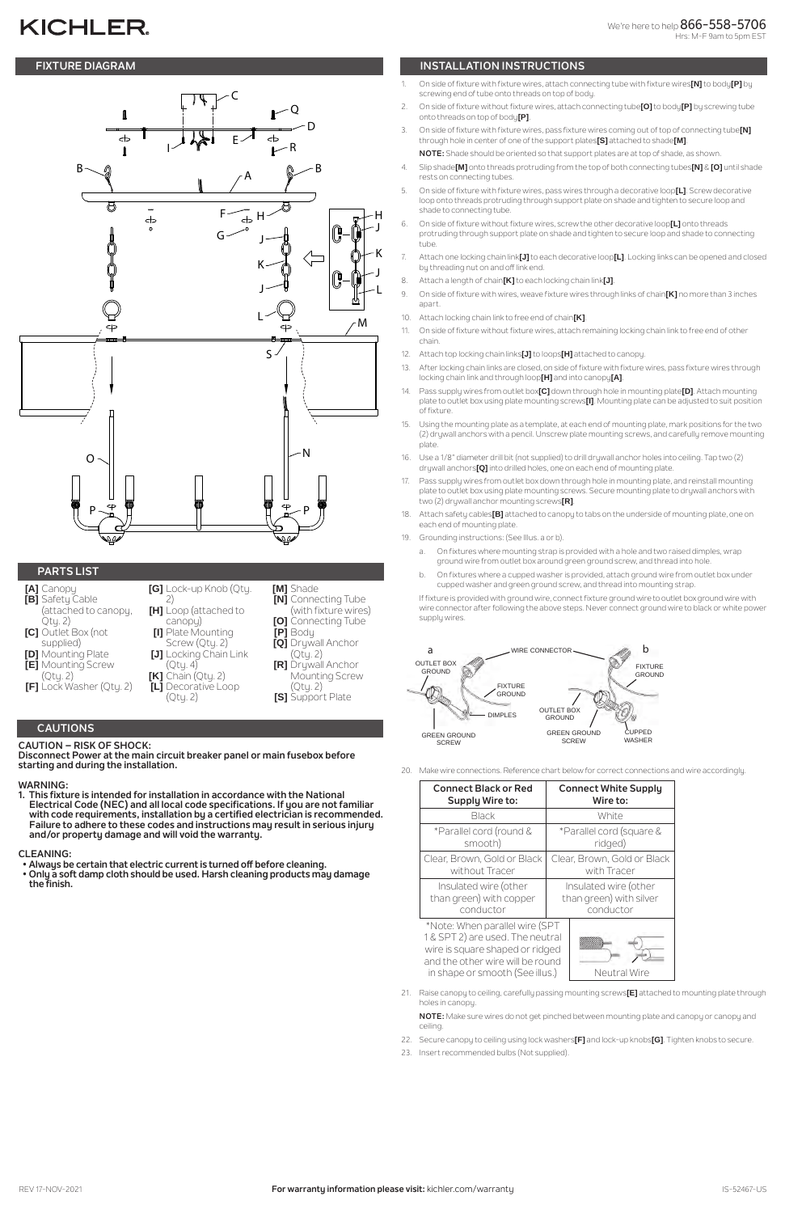# **KICHLER**



# **CAUTIONS**

**CAUTION – RISK OF SHOCK:** 

**Disconnect Power at the main circuit breaker panel or main fusebox before starting and during the installation.** 

# **WARNING:**

**1. This fixture is intended for installation in accordance with the National Electrical Code (NEC) and all local code specifications. If you are not familiar with code requirements, installation by a certified electrician is recommended. Failure to adhere to these codes and instructions may result in serious injury and/or property damage and will void the warranty.**

# **CLEANING:**

- **Always be certain that electric current is turned off before cleaning.**
- **Only a soft damp cloth should be used. Harsh cleaning products may damage the finish.**

# **FIXTURE DIAGRAM INSTALLATION INSTRUCTIONS**

# **PARTS LIST**

- **[A]** Canopy **[B]** Safety Cable (attached to canopy, Qty. 2)
- **[C]** Outlet Box (not supplied)
- **[D]** Mounting Plate
- **[E]** Mounting Screw
- (Qty. 2) **[F]** Lock Washer (Qty. 2)
- 

#### **[G]** Lock-up Knob (Qty. 2) **[H]** Loop (attached to canopy) **[I]** Plate Mounting Screw (Qty. 2) **[J]** Locking Chain Link (Qty. 4) **[K]** Chain (Qty. 2) **[L]** Decorative Loop **[M]** Shade **[Q]** Drywall Anchor

(Qty. 2)

**[N]** Connecting Tube (with fixture wires) **[O]** Connecting Tube

**[P]** Body

(Qty. 2) **[R]** Drywall Anchor Mounting Screw

(Qty. 2) **[S]** Support Plate

- 1. On side of fixture with fixture wires, attach connecting tube with fixture wires**[N]** to body**[P]** by screwing end of tube onto threads on top of body.
- 2. On side of fixture without fixture wires, attach connecting tube**[O]** to body**[P]** by screwing tube onto threads on top of body**[P]**.
- 3. On side of fixture with fixture wires, pass fixture wires coming out of top of connecting tube**[N]** through hole in center of one of the support plates**[S]** attached to shade**[M]**. **NOTE:** Shade should be oriented so that support plates are at top of shade, as shown.
- 4. Slip shade**[M]** onto threads protruding from the top of both connecting tubes**[N]** & **[O]** until shade rests on connecting tubes.
- 5. On side of fixture with fixture wires, pass wires through a decorative loop**[L]**. Screw decorative loop onto threads protruding through support plate on shade and tighten to secure loop and shade to connecting tube.
- 6. On side of fixture without fixture wires, screw the other decorative loop**[L]** onto threads protruding through support plate on shade and tighten to secure loop and shade to connecting tube
- 7. Attach one locking chain link**[J]** to each decorative loop**[L]**. Locking links can be opened and closed by threading nut on and off link end.
- 8. Attach a length of chain**[K]** to each locking chain link**[J]**.
- 9. On side of fixture with wires, weave fixture wires through links of chain**[K]** no more than 3 inches apart.
- 10. Attach locking chain link to free end of chain**[K]**.
- 11. On side of fixture without fixture wires, attach remaining locking chain link to free end of other chain.
- 12. Attach top locking chain links**[J]** to loops**[H]** attached to canopy.
- 13. After locking chain links are closed, on side of fixture with fixture wires, pass fixture wires through locking chain link and through loop**[H]** and into canopy**[A]**.
- 14. Pass supply wires from outlet box**[C]** down through hole in mounting plate**[D]**. Attach mounting plate to outlet box using plate mounting screws**[I]**. Mounting plate can be adjusted to suit position of fixture.
- 15. Using the mounting plate as a template, at each end of mounting plate, mark positions for the two (2) drywall anchors with a pencil. Unscrew plate mounting screws, and carefully remove mounting plate
- 16. Use a 1/8" diameter drill bit (not supplied) to drill drywall anchor holes into ceiling. Tap two (2) drywall anchors**[Q]** into drilled holes, one on each end of mounting plate.
- 17. Pass supply wires from outlet box down through hole in mounting plate, and reinstall mounting plate to outlet box using plate mounting screws. Secure mounting plate to drywall anchors with two (2) drywall anchor mounting screws**[R]**.
- 18. Attach safety cables**[B]** attached to canopy to tabs on the underside of mounting plate, one on each end of mounting plate.
- 19. Grounding instructions: (See Illus. a or b).
	- a. On fixtures where mounting strap is provided with a hole and two raised dimples, wrap ground wire from outlet box around green ground screw, and thread into hole.
	- b. On fixtures where a cupped washer is provided, attach ground wire from outlet box under cupped washer and green ground screw, and thread into mounting strap.

If fixture is provided with ground wire, connect fixture ground wire to outlet box ground wire with wire connector after following the above steps. Never connect ground wire to black or white power supply wires.

| <b>Connect Black or Red</b>                                                                                                                                                  | <b>Connect White Supply</b> |
|------------------------------------------------------------------------------------------------------------------------------------------------------------------------------|-----------------------------|
| <b>Supply Wire to:</b>                                                                                                                                                       | Wire to:                    |
| Black                                                                                                                                                                        | White                       |
| *Parallel cord (round &                                                                                                                                                      | *Parallel cord (square &    |
| smooth)                                                                                                                                                                      | ridged)                     |
| Clear, Brown, Gold or Black                                                                                                                                                  | Clear, Brown, Gold or Black |
| without Tracer                                                                                                                                                               | with Tracer                 |
| Insulated wire (other                                                                                                                                                        | Insulated wire (other       |
| than green) with copper                                                                                                                                                      | than green) with silver     |
| conductor                                                                                                                                                                    | conductor                   |
| *Note: When parallel wire (SPT<br>1 & SPT 2) are used. The neutral<br>wire is square shaped or ridged<br>and the other wire will be round<br>in shape or smooth (See illus.) | Neutral Wire                |

21. Raise canopy to ceiling, carefully passing mounting screws**[E]** attached to mounting plate through holes in canopy.

**NOTE:** Make sure wires do not get pinched between mounting plate and canopy or canopy and ceiling.

- 22. Secure canopy to ceiling using lock washers**[F]** and lock-up knobs**[G]**. Tighten knobs to secure.
- 23. Insert recommended bulbs (Not supplied).



20. Make wire connections. Reference chart below for correct connections and wire accordingly.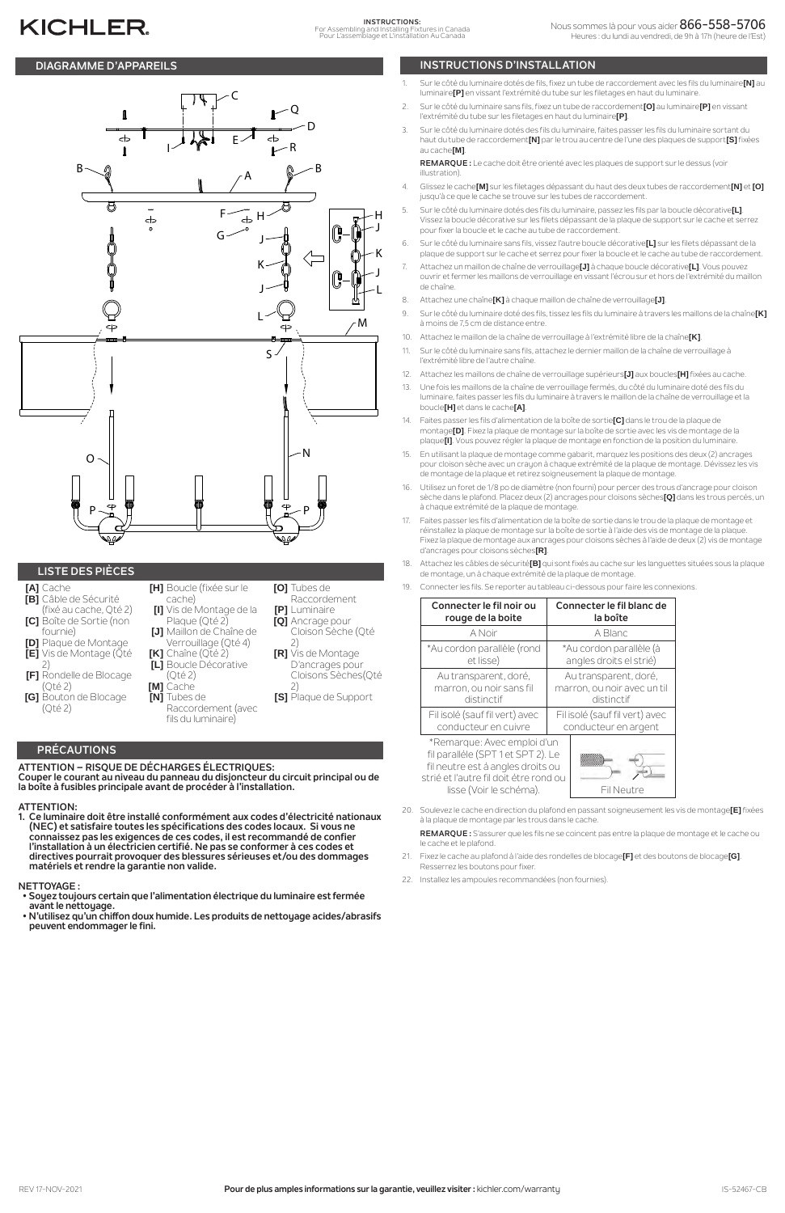# **PRÉCAUTIONS**

#### **ATTENTION – RISQUE DE DÉCHARGES ÉLECTRIQUES: Couper le courant au niveau du panneau du disjoncteur du circuit principal ou de la boîte à fusibles principale avant de procéder à l'installation.**

### **ATTENTION:**

**1. Ce luminaire doit être installé conformément aux codes d'électricité nationaux (NEC) et satisfaire toutes les spécifications des codes locaux. Si vous ne connaissez pas les exigences de ces codes, il est recommandé de confier l'installation à un électricien certifié. Ne pas se conformer à ces codes et directives pourrait provoquer des blessures sérieuses et/ou des dommages matériels et rendre la garantie non valide.**

# **NETTOYAGE :**

## **DIAGRAMME D'APPAREILS INSTRUCTIONS D'INSTALLATION**

# **KICHLER**

## **LISTE DES PIÈCES**

- **[A]** Cache **[B]** Câble de Sécurité (fixé au cache, Qté 2)
- **[C]** Boîte de Sortie (non fournie)
- **[D]** Plaque de Montage **[E]** Vis de Montage (Qté
- 2) **[F]** Rondelle de Blocage
- (Qté 2) **[G]** Bouton de Blocage
- (Qté 2)

|              | [H] Boucle (fixée sur le<br><b>[O]</b> Tu |              |
|--------------|-------------------------------------------|--------------|
|              | cache)                                    | Ri           |
|              | [I] Vis de Montage de la<br>[P]           | Lι           |
|              | Plaque (Qté 2)<br>[Q] Ai                  |              |
|              | [J] Maillon de Chaîne de                  | CI           |
|              | Verrouillage (Qté 4)                      | 2)           |
|              | [K] Chaîne (Qté 2)<br>$IR1$ $Vi$          |              |
|              | [L] Boucle Décorative                     | ∍            |
|              | (Qté 2)                                   | CI           |
| [M] Cache    |                                           | 2)           |
| [N] Tubes de | [S]                                       | $\mathsf{P}$ |
|              | Raccordement (avec                        |              |

fils du luminaire)

- **[O]** Tubes de Raccordement
- **[P]** Luminaire **[Q]** Ancrage pour
	- Cloison Sèche (Qté 2)
	- **[R]** Vis de Montage D'ancrages pour Cloisons Sèches(Qté
	- **[S]** Plaque de Support
- 1. Sur le côté du luminaire dotés de fils, fixez un tube de raccordement avec les fils du luminaire**[N]** au luminaire**[P]** en vissant l'extrémité du tube sur les filetages en haut du luminaire.
- 2. Sur le côté du luminaire sans fils, fixez un tube de raccordement**[O]** au luminaire**[P]** en vissant l'extrémité du tube sur les filetages en haut du luminaire**[P]**.
- 3. Sur le côté du luminaire dotés des fils du luminaire, faites passer les fils du luminaire sortant du haut du tube de raccordement**[N]** par le trou au centre de l'une des plaques de support**[S]** fixées au cache**[M]**.

**REMARQUE :** Le cache doit être orienté avec les plaques de support sur le dessus (voir illustration).

- 21. Fixez le cache au plafond à l'aide des rondelles de blocage**[F]** et des boutons de blocage**[G]**. Resserrez les boutons pour fixer.
- 22. Installez les ampoules recommandées (non fournies).
- **Soyez toujours certain que l'alimentation électrique du luminaire est fermée avant le nettoyage.**
- **N'utilisez qu'un chiffon doux humide. Les produits de nettoyage acides/abrasifs peuvent endommager le fini.**
- 4. Glissez le cache**[M]** sur les filetages dépassant du haut des deux tubes de raccordement**[N]** et **[O]** jusqu'à ce que le cache se trouve sur les tubes de raccordement.
- 5. Sur le côté du luminaire dotés des fils du luminaire, passez les fils par la boucle décorative**[L]**. Vissez la boucle décorative sur les filets dépassant de la plaque de support sur le cache et serrez pour fixer la boucle et le cache au tube de raccordement.
- 6. Sur le côté du luminaire sans fils, vissez l'autre boucle décorative**[L]** sur les filets dépassant de la plaque de support sur le cache et serrez pour fixer la boucle et le cache au tube de raccordement.
- 7. Attachez un maillon de chaîne de verrouillage**[J]** à chaque boucle décorative**[L]**. Vous pouvez ouvrir et fermer les maillons de verrouillage en vissant l'écrou sur et hors de l'extrémité du maillon de chaîne.
- 8. Attachez une chaîne**[K]** à chaque maillon de chaîne de verrouillage**[J]**.
- 9. Sur le côté du luminaire doté des fils, tissez les fils du luminaire à travers les maillons de la chaîne**[K]** à moins de 7,5 cm de distance entre.
- 10. Attachez le maillon de la chaîne de verrouillage à l'extrémité libre de la chaîne**[K]**.
- 11. Sur le côté du luminaire sans fils, attachez le dernier maillon de la chaîne de verrouillage à l'extrémité libre de l'autre chaîne.
- 12. Attachez les maillons de chaîne de verrouillage supérieurs**[J]** aux boucles**[H]** fixées au cache.
- 13. Une fois les maillons de la chaîne de verrouillage fermés, du côté du luminaire doté des fils du luminaire, faites passer les fils du luminaire à travers le maillon de la chaîne de verrouillage et la boucle**[H]** et dans le cache**[A]**.
- 14. Faites passer les fils d'alimentation de la boîte de sortie**[C]** dans le trou de la plaque de montage**[D]**. Fixez la plaque de montage sur la boîte de sortie avec les vis de montage de la plaque**[I]**. Vous pouvez régler la plaque de montage en fonction de la position du luminaire.
- 15. En utilisant la plaque de montage comme gabarit, marquez les positions des deux (2) ancrages pour cloison sèche avec un crayon à chaque extrémité de la plaque de montage. Dévissez les vis de montage de la plaque et retirez soigneusement la plaque de montage.
- 16. Utilisez un foret de 1/8 po de diamètre (non fourni) pour percer des trous d'ancrage pour cloison sèche dans le plafond. Placez deux (2) ancrages pour cloisons sèches**[Q]** dans les trous percés, un à chaque extrémité de la plaque de montage.
- 17. Faites passer les fils d'alimentation de la boîte de sortie dans le trou de la plaque de montage et réinstallez la plaque de montage sur la boîte de sortie à l'aide des vis de montage de la plaque. Fixez la plaque de montage aux ancrages pour cloisons sèches à l'aide de deux (2) vis de montage d'ancrages pour cloisons sèches**[R]**.
- 18. Attachez les câbles de sécurité**[B]** qui sont fixés au cache sur les languettes situées sous la plaque de montage, un à chaque extrémité de la plaque de montage.
- 19. Connecter les fils. Se reporter au tableau ci-dessous pour faire les connexions.

| Connecter le fil noir ou                                                                                                                                                    | Connecter le fil blanc de     |
|-----------------------------------------------------------------------------------------------------------------------------------------------------------------------------|-------------------------------|
| rouge de la boite                                                                                                                                                           | la boîte                      |
| A Noir                                                                                                                                                                      | A Blanc                       |
| *Au cordon parallèle (rond                                                                                                                                                  | *Au cordon parallèle (à       |
| et lisse)                                                                                                                                                                   | angles droits el strié)       |
| Au transparent, doré,                                                                                                                                                       | Au transparent, doré,         |
| marron, ou noir sans fil                                                                                                                                                    | marron, ou noir avec un til   |
| distinctif                                                                                                                                                                  | distinctif                    |
| Fil isolé (sauf fil vert) avec                                                                                                                                              | Filisolé (sauf fil vert) avec |
| conducteur en cuivre                                                                                                                                                        | conducteur en argent          |
| *Remarque: Avec emploi d'un<br>fil paralléle (SPT 1 et SPT 2). Le<br>fil neutre est á angles droits ou<br>strié et l'autre fil doit étre rond ou<br>lisse (Voir le schéma). | Fil Neutre                    |

20. Soulevez le cache en direction du plafond en passant soigneusement les vis de montage**[E]** fixées à la plaque de montage par les trous dans le cache.

**REMARQUE :** S'assurer que les fils ne se coincent pas entre la plaque de montage et le cache ou le cache et le plafond.